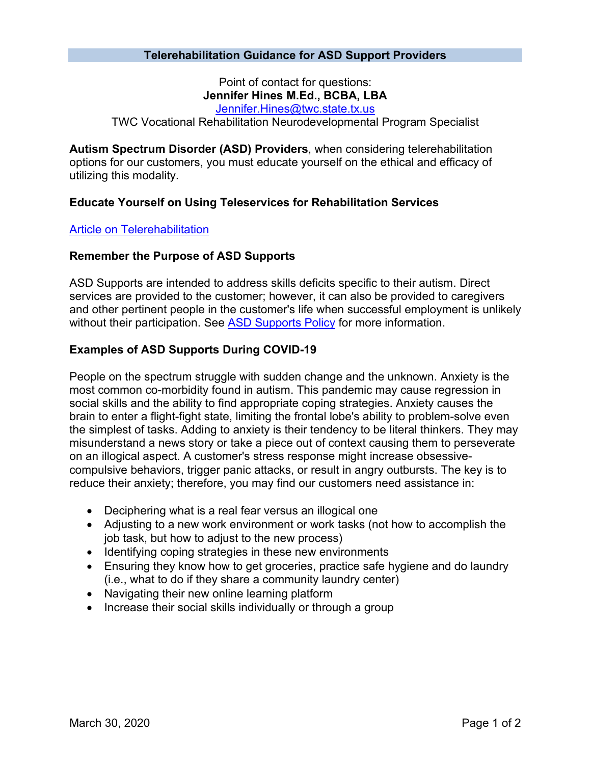### **Telerehabilitation Guidance for ASD Support Providers**

Point of contact for questions: **Jennifer Hines M.Ed., BCBA, LBA**

[Jennifer.Hines@twc.state.tx.us](mailto:Jennifer.Hines@twc.state.tx.us)

TWC Vocational Rehabilitation Neurodevelopmental Program Specialist

**Autism Spectrum Disorder (ASD) Providers**, when considering telerehabilitation options for our customers, you must educate yourself on the ethical and efficacy of utilizing this modality.

### **Educate Yourself on Using Teleservices for Rehabilitation Services**

#### [Article on Telerehabilitation](https://www.ncbi.nlm.nih.gov/pmc/articles/PMC4296780/)

#### **Remember the Purpose of ASD Supports**

ASD Supports are intended to address skills deficits specific to their autism. Direct services are provided to the customer; however, it can also be provided to caregivers and other pertinent people in the customer's life when successful employment is unlikely without their participation. See [ASD Supports Policy](https://twc.texas.gov/vr-services-manual/vrsm-c-800#c802-1) for more information.

### **Examples of ASD Supports During COVID-19**

People on the spectrum struggle with sudden change and the unknown. Anxiety is the most common co-morbidity found in autism. This pandemic may cause regression in social skills and the ability to find appropriate coping strategies. Anxiety causes the brain to enter a flight-fight state, limiting the frontal lobe's ability to problem-solve even the simplest of tasks. Adding to anxiety is their tendency to be literal thinkers. They may misunderstand a news story or take a piece out of context causing them to perseverate on an illogical aspect. A customer's stress response might increase obsessivecompulsive behaviors, trigger panic attacks, or result in angry outbursts. The key is to reduce their anxiety; therefore, you may find our customers need assistance in:

- Deciphering what is a real fear versus an illogical one
- Adjusting to a new work environment or work tasks (not how to accomplish the job task, but how to adjust to the new process)
- Identifying coping strategies in these new environments
- Ensuring they know how to get groceries, practice safe hygiene and do laundry (i.e., what to do if they share a community laundry center)
- Navigating their new online learning platform
- Increase their social skills individually or through a group